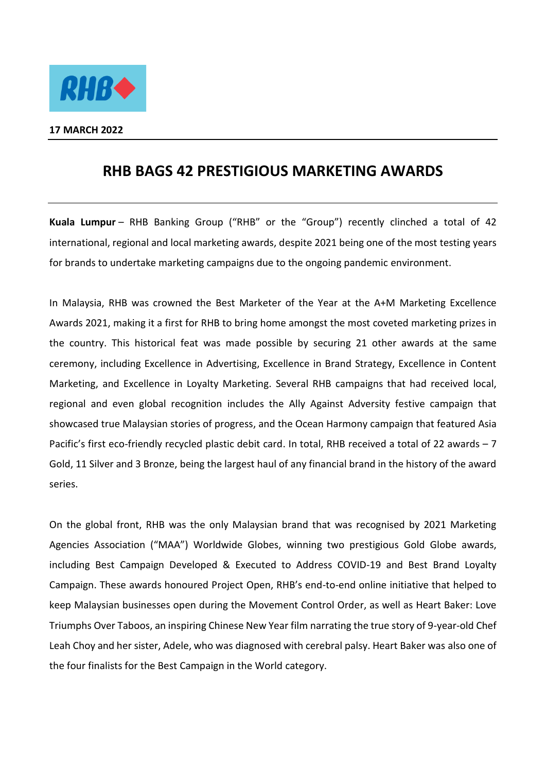

## **17 MARCH 2022**

## **RHB BAGS 42 PRESTIGIOUS MARKETING AWARDS**

**Kuala Lumpur** – RHB Banking Group ("RHB" or the "Group") recently clinched a total of 42 international, regional and local marketing awards, despite 2021 being one of the most testing years for brands to undertake marketing campaigns due to the ongoing pandemic environment.

In Malaysia, RHB was crowned the Best Marketer of the Year at the A+M Marketing Excellence Awards 2021, making it a first for RHB to bring home amongst the most coveted marketing prizes in the country. This historical feat was made possible by securing 21 other awards at the same ceremony, including Excellence in Advertising, Excellence in Brand Strategy, Excellence in Content Marketing, and Excellence in Loyalty Marketing. Several RHB campaigns that had received local, regional and even global recognition includes the Ally Against Adversity festive campaign that showcased true Malaysian stories of progress, and the Ocean Harmony campaign that featured Asia Pacific's first eco-friendly recycled plastic debit card. In total, RHB received a total of 22 awards – 7 Gold, 11 Silver and 3 Bronze, being the largest haul of any financial brand in the history of the award series.

On the global front, RHB was the only Malaysian brand that was recognised by 2021 Marketing Agencies Association ("MAA") Worldwide Globes, winning two prestigious Gold Globe awards, including Best Campaign Developed & Executed to Address COVID-19 and Best Brand Loyalty Campaign. These awards honoured Project Open, RHB's end-to-end online initiative that helped to keep Malaysian businesses open during the Movement Control Order, as well as Heart Baker: Love Triumphs Over Taboos, an inspiring Chinese New Year film narrating the true story of 9-year-old Chef Leah Choy and her sister, Adele, who was diagnosed with cerebral palsy. Heart Baker was also one of the four finalists for the Best Campaign in the World category.